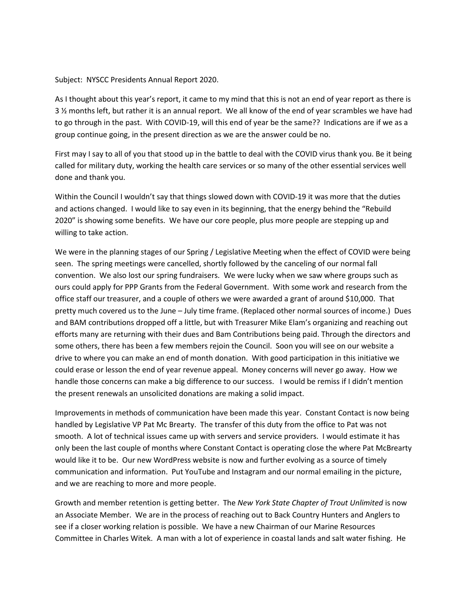Subject: NYSCC Presidents Annual Report 2020.

As I thought about this year's report, it came to my mind that this is not an end of year report as there is 3 ½ months left, but rather it is an annual report. We all know of the end of year scrambles we have had to go through in the past. With COVID-19, will this end of year be the same?? Indications are if we as a group continue going, in the present direction as we are the answer could be no.

First may I say to all of you that stood up in the battle to deal with the COVID virus thank you. Be it being called for military duty, working the health care services or so many of the other essential services well done and thank you.

Within the Council I wouldn't say that things slowed down with COVID-19 it was more that the duties and actions changed. I would like to say even in its beginning, that the energy behind the "Rebuild 2020" is showing some benefits. We have our core people, plus more people are stepping up and willing to take action.

We were in the planning stages of our Spring / Legislative Meeting when the effect of COVID were being seen. The spring meetings were cancelled, shortly followed by the canceling of our normal fall convention. We also lost our spring fundraisers. We were lucky when we saw where groups such as ours could apply for PPP Grants from the Federal Government. With some work and research from the office staff our treasurer, and a couple of others we were awarded a grant of around \$10,000. That pretty much covered us to the June – July time frame. (Replaced other normal sources of income.) Dues and BAM contributions dropped off a little, but with Treasurer Mike Elam's organizing and reaching out efforts many are returning with their dues and Bam Contributions being paid. Through the directors and some others, there has been a few members rejoin the Council. Soon you will see on our website a drive to where you can make an end of month donation. With good participation in this initiative we could erase or lesson the end of year revenue appeal. Money concerns will never go away. How we handle those concerns can make a big difference to our success. I would be remiss if I didn't mention the present renewals an unsolicited donations are making a solid impact.

Improvements in methods of communication have been made this year. Constant Contact is now being handled by Legislative VP Pat Mc Brearty. The transfer of this duty from the office to Pat was not smooth. A lot of technical issues came up with servers and service providers. I would estimate it has only been the last couple of months where Constant Contact is operating close the where Pat McBrearty would like it to be. Our new WordPress website is now and further evolving as a source of timely communication and information. Put YouTube and Instagram and our normal emailing in the picture, and we are reaching to more and more people.

Growth and member retention is getting better. The *New York State Chapter of Trout Unlimited* is now an Associate Member. We are in the process of reaching out to Back Country Hunters and Anglers to see if a closer working relation is possible. We have a new Chairman of our Marine Resources Committee in Charles Witek. A man with a lot of experience in coastal lands and salt water fishing. He